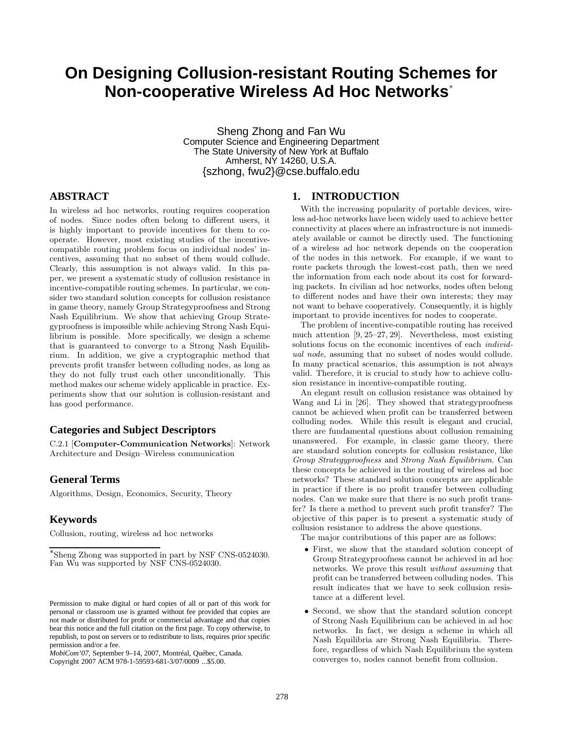# **On Designing Collusion-resistant Routing Schemes for Non-cooperative Wireless Ad Hoc Networks**<sup>∗</sup>

Sheng Zhong and Fan Wu Computer Science and Engineering Department The State University of New York at Buffalo Amherst, NY 14260, U.S.A. {szhong, fwu2}@cse.buffalo.edu

# **ABSTRACT**

In wireless ad hoc networks, routing requires cooperation of nodes. Since nodes often belong to different users, it is highly important to provide incentives for them to cooperate. However, most existing studies of the incentivecompatible routing problem focus on individual nodes' incentives, assuming that no subset of them would collude. Clearly, this assumption is not always valid. In this paper, we present a systematic study of collusion resistance in incentive-compatible routing schemes. In particular, we consider two standard solution concepts for collusion resistance in game theory, namely Group Strategyproofness and Strong Nash Equilibrium. We show that achieving Group Strategyproofness is impossible while achieving Strong Nash Equilibrium is possible. More specifically, we design a scheme that is guaranteed to converge to a Strong Nash Equilibrium. In addition, we give a cryptographic method that prevents profit transfer between colluding nodes, as long as they do not fully trust each other unconditionally. This method makes our scheme widely applicable in practice. Experiments show that our solution is collusion-resistant and has good performance.

## **Categories and Subject Descriptors**

C.2.1 [Computer-Communication Networks]: Network Architecture and Design–Wireless communication

## **General Terms**

Algorithms, Design, Economics, Security, Theory

## **Keywords**

Collusion, routing, wireless ad hoc networks

*MobiCom'07,* September 9–14, 2007, Montréal, Québec, Canada. Copyright 2007 ACM 978-1-59593-681-3/07/0009 ...\$5.00.

## **1. INTRODUCTION**

With the increasing popularity of portable devices, wireless ad-hoc networks have been widely used to achieve better connectivity at places where an infrastructure is not immediately available or cannot be directly used. The functioning of a wireless ad hoc network depends on the cooperation of the nodes in this network. For example, if we want to route packets through the lowest-cost path, then we need the information from each node about its cost for forwarding packets. In civilian ad hoc networks, nodes often belong to different nodes and have their own interests; they may not want to behave cooperatively. Consequently, it is highly important to provide incentives for nodes to cooperate.

The problem of incentive-compatible routing has received much attention [9, 25–27, 29]. Nevertheless, most existing solutions focus on the economic incentives of each individual node, assuming that no subset of nodes would collude. In many practical scenarios, this assumption is not always valid. Therefore, it is crucial to study how to achieve collusion resistance in incentive-compatible routing.

An elegant result on collusion resistance was obtained by Wang and Li in [26]. They showed that strategyproofness cannot be achieved when profit can be transferred between colluding nodes. While this result is elegant and crucial, there are fundamental questions about collusion remaining unanswered. For example, in classic game theory, there are standard solution concepts for collusion resistance, like Group Strategyproofness and Strong Nash Equilibrium. Can these concepts be achieved in the routing of wireless ad hoc networks? These standard solution concepts are applicable in practice if there is no profit transfer between colluding nodes. Can we make sure that there is no such profit transfer? Is there a method to prevent such profit transfer? The objective of this paper is to present a systematic study of collusion resistance to address the above questions.

The major contributions of this paper are as follows:

- First, we show that the standard solution concept of Group Strategyproofness cannot be achieved in ad hoc networks. We prove this result without assuming that profit can be transferred between colluding nodes. This result indicates that we have to seek collusion resistance at a different level.
- Second, we show that the standard solution concept of Strong Nash Equilibrium can be achieved in ad hoc networks. In fact, we design a scheme in which all Nash Equilibria are Strong Nash Equilibria. Therefore, regardless of which Nash Equilibrium the system converges to, nodes cannot benefit from collusion.

<sup>∗</sup> Sheng Zhong was supported in part by NSF CNS-0524030. Fan Wu was supported by NSF CNS-0524030.

Permission to make digital or hard copies of all or part of this work for personal or classroom use is granted without fee provided that copies are not made or distributed for profit or commercial advantage and that copies bear this notice and the full citation on the first page. To copy otherwise, to republish, to post on servers or to redistribute to lists, requires prior specific permission and/or a fee.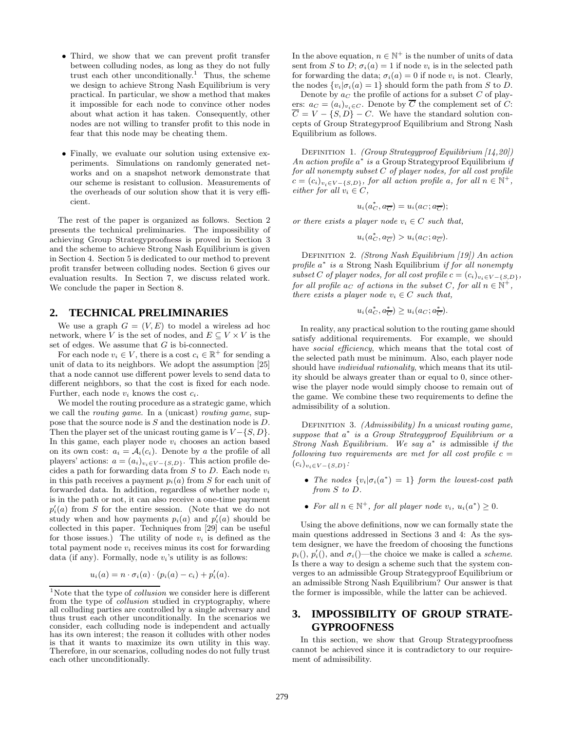- Third, we show that we can prevent profit transfer between colluding nodes, as long as they do not fully trust each other unconditionally.<sup>1</sup> Thus, the scheme we design to achieve Strong Nash Equilibrium is very practical. In particular, we show a method that makes it impossible for each node to convince other nodes about what action it has taken. Consequently, other nodes are not willing to transfer profit to this node in fear that this node may be cheating them.
- Finally, we evaluate our solution using extensive experiments. Simulations on randomly generated networks and on a snapshot network demonstrate that our scheme is resistant to collusion. Measurements of the overheads of our solution show that it is very efficient.

The rest of the paper is organized as follows. Section 2 presents the technical preliminaries. The impossibility of achieving Group Strategyproofness is proved in Section 3 and the scheme to achieve Strong Nash Equilibrium is given in Section 4. Section 5 is dedicated to our method to prevent profit transfer between colluding nodes. Section 6 gives our evaluation results. In Section 7, we discuss related work. We conclude the paper in Section 8.

## **2. TECHNICAL PRELIMINARIES**

We use a graph  $G = (V, E)$  to model a wireless ad hoc network, where V is the set of nodes, and  $E \subseteq V \times V$  is the set of edges. We assume that  $G$  is bi-connected.

For each node  $v_i \in V$ , there is a cost  $c_i \in \mathbb{R}^+$  for sending a unit of data to its neighbors. We adopt the assumption [25] that a node cannot use different power levels to send data to different neighbors, so that the cost is fixed for each node. Further, each node  $v_i$  knows the cost  $c_i$ .

We model the routing procedure as a strategic game, which we call the *routing game*. In a (unicast) *routing game*, suppose that the source node is  $S$  and the destination node is  $D$ . Then the player set of the unicast routing game is  $V - \{S, D\}.$ In this game, each player node  $v_i$  chooses an action based on its own cost:  $a_i = A_i(c_i)$ . Denote by a the profile of all players' actions:  $a = (a_i)_{v_i \in V - \{S, D\}}$ . This action profile decides a path for forwarding data from  $S$  to  $D$ . Each node  $v_i$ in this path receives a payment  $p_i(a)$  from S for each unit of forwarded data. In addition, regardless of whether node  $v_i$ is in the path or not, it can also receive a one-time payment  $p'_{i}(a)$  from S for the entire session. (Note that we do not study when and how payments  $p_i(a)$  and  $p'_i(a)$  should be collected in this paper. Techniques from [29] can be useful for those issues.) The utility of node  $v_i$  is defined as the total payment node  $v_i$  receives minus its cost for forwarding data (if any). Formally, node  $v_i$ 's utility is as follows:

$$
u_i(a) = n \cdot \sigma_i(a) \cdot (p_i(a) - c_i) + p'_i(a).
$$

In the above equation,  $n \in \mathbb{N}^+$  is the number of units of data sent from S to D;  $\sigma_i(a) = 1$  if node  $v_i$  is in the selected path for forwarding the data;  $\sigma_i(a) = 0$  if node  $v_i$  is not. Clearly, the nodes  $\{v_i|\sigma_i(a)=1\}$  should form the path from S to D.

Denote by  $a_C$  the profile of actions for a subset C of players:  $a_C = (a_i)_{v_i \in C}$ . Denote by  $\overline{C}$  the complement set of  $\overline{C}$ :  $\overline{C} = V - \{S, D\} - C$ . We have the standard solution concepts of Group Strategyproof Equilibrium and Strong Nash Equilibrium as follows.

DEFINITION 1. *(Group Strategyproof Equilibrium [14,20])* An action profile a<sup>\*</sup> is a Group Strategyproof Equilibrium if for all nonempty subset  $C$  of player nodes, for all cost profile  $c = (c_i)_{v_i \in V - \{S, D\}}$ , for all action profile a, for all  $n \in \mathbb{N}^+$ , either for all  $v_i \in C$ ,

$$
u_i(a_C^*, a_{\overline{C}}) = u_i(a_C; a_{\overline{C}});
$$

or there exists a player node  $v_i \in C$  such that,

 $u_i(a_C^*, a_{\overline{C}}) > u_i(a_C; a_{\overline{C}}).$ 

DEFINITION 2. *(Strong Nash Equilibrium [19])* An action profile  $a^*$  is a Strong Nash Equilibrium if for all nonempty subset C of player nodes, for all cost profile  $c = (c_i)_{v_i \in V - \{S, D\}}$ , for all profile  $a_C$  of actions in the subset C, for all  $n \in \mathbb{N}^+$ , there exists a player node  $v_i \in C$  such that,

$$
u_i(a_C^*, a_{\overline{C}}^*) \geq u_i(a_C; a_{\overline{C}}^*).
$$

In reality, any practical solution to the routing game should satisfy additional requirements. For example, we should have *social efficiency*, which means that the total cost of the selected path must be minimum. Also, each player node should have individual rationality, which means that its utility should be always greater than or equal to 0, since otherwise the player node would simply choose to remain out of the game. We combine these two requirements to define the admissibility of a solution.

DEFINITION 3. (Admissibility) In a unicast routing game, suppose that  $a^*$  is a Group Strategyproof Equilibrium or a Strong Nash Equilibrium. We say  $a^*$  is admissible if the following two requirements are met for all cost profile  $c =$  $(c_i)_{v_i \in V - \{S,D\}}$ :

- The nodes  $\{v_i | \sigma_i(a^*) = 1\}$  form the lowest-cost path from S to D.
- For all  $n \in \mathbb{N}^+$ , for all player node  $v_i$ ,  $u_i(a^*) \geq 0$ .

Using the above definitions, now we can formally state the main questions addressed in Sections 3 and 4: As the system designer, we have the freedom of choosing the functions  $p_i(), p'_i(),$  and  $\sigma_i()$ —the choice we make is called a *scheme*. Is there a way to design a scheme such that the system converges to an admissible Group Strategyproof Equilibrium or an admissible Strong Nash Equilibrium? Our answer is that the former is impossible, while the latter can be achieved.

# **3. IMPOSSIBILITY OF GROUP STRATE-GYPROOFNESS**

In this section, we show that Group Strategyproofness cannot be achieved since it is contradictory to our requirement of admissibility.

<sup>&</sup>lt;sup>1</sup>Note that the type of *collusion* we consider here is different from the type of collusion studied in cryptography, where all colluding parties are controlled by a single adversary and thus trust each other unconditionally. In the scenarios we consider, each colluding node is independent and actually has its own interest; the reason it colludes with other nodes is that it wants to maximize its own utility in this way. Therefore, in our scenarios, colluding nodes do not fully trust each other unconditionally.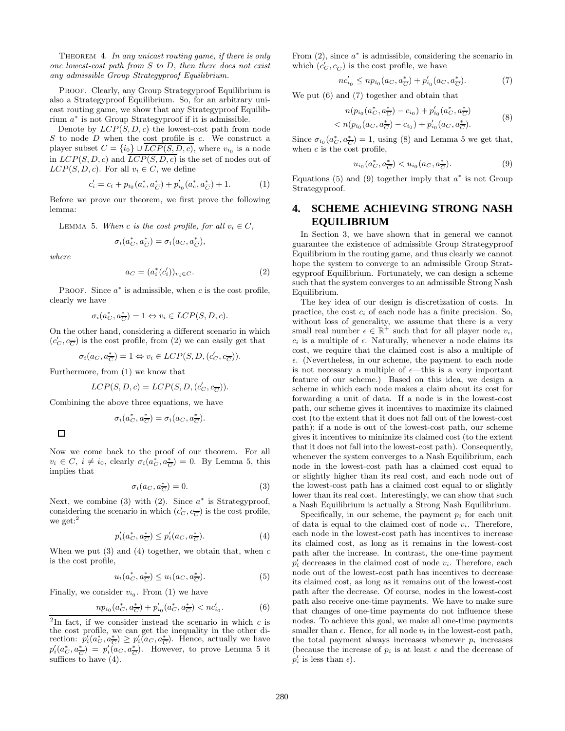THEOREM 4. In any unicast routing game, if there is only one lowest-cost path from S to D, then there does not exist any admissible Group Strategyproof Equilibrium.

PROOF. Clearly, any Group Strategyproof Equilibrium is also a Strategyproof Equilibrium. So, for an arbitrary unicast routing game, we show that any Strategyproof Equilibrium a ∗ is not Group Strategyproof if it is admissible.

Denote by  $LCP(S, D, c)$  the lowest-cost path from node  $S$  to node  $D$  when the cost profile is  $c$ . We construct a player subset  $C = \{i_0\} \cup LCP(S, D, c)$ , where  $v_{i_0}$  is a node in  $LCP(S, D, c)$  and  $\overline{LCP(S, D, c)}$  is the set of nodes out of  $LCP(S, D, c)$ . For all  $v_i \in C$ , we define

$$
c'_{i} = c_{i} + p_{i_{0}}(a_{c}^{*}, a_{\overline{C}}^{*}) + p'_{i_{0}}(a_{c}^{*}, a_{\overline{C}}^{*}) + 1.
$$
 (1)

Before we prove our theorem, we first prove the following lemma:

LEMMA 5. When c is the cost profile, for all  $v_i \in C$ .

$$
\sigma_i(a_C^*,a_{\overline{C}}^*)=\sigma_i(a_C,a_{\overline{C}}^*),
$$

where

$$
a_C = (a_i^*(c_i'))_{v_i \in C}.\tag{2}
$$

PROOF. Since  $a^*$  is admissible, when c is the cost profile, clearly we have

$$
\sigma_i(a_C^*, a_{\overline{C}}^*) = 1 \Leftrightarrow v_i \in LCP(S, D, c).
$$

On the other hand, considering a different scenario in which  $(c_C', c_{\overline{C}})$  is the cost profile, from (2) we can easily get that

$$
\sigma_i(a_C, a_{\overline{C}}^*) = 1 \Leftrightarrow v_i \in LCP(S, D, (c_C', c_{\overline{C}})).
$$

Furthermore, from (1) we know that

$$
LCP(S, D, c) = LCP(S, D, (c_C', c_{\overline{C}})).
$$

Combining the above three equations, we have

$$
\sigma_i(a_C^*, a_{\overline{C}}^*) = \sigma_i(a_C, a_{\overline{C}}^*).
$$

口

Now we come back to the proof of our theorem. For all  $v_i \in C$ ,  $i \neq i_0$ , clearly  $\sigma_i(a_C^*, a_{\overline{C}}^*) = 0$ . By Lemma 5, this implies that

$$
\sigma_i(a_C, a_{\overline{C}}^*) = 0. \tag{3}
$$

Next, we combine  $(3)$  with  $(2)$ . Since  $a^*$  is Strategyproof, considering the scenario in which  $(c_C', c_{\overline{C}})$  is the cost profile, we get:<sup>2</sup>

$$
p_i'(a_C^*, a_{\overline{C}}^*) \le p_i'(a_C, a_{\overline{C}}^*). \tag{4}
$$

When we put  $(3)$  and  $(4)$  together, we obtain that, when c is the cost profile,

$$
u_i(a_C^*, a_{\overline{C}}^*) \le u_i(a_C, a_{\overline{C}}^*). \tag{5}
$$

Finally, we consider  $v_{i_0}$ . From (1) we have

$$
np_{i_0}(a_C^*, a_{\overline{C}}^*) + p'_{i_0}(a_C^*, a_{\overline{C}}^*) < n c'_{i_0}.\tag{6}
$$

From  $(2)$ , since  $a^*$  is admissible, considering the scenario in which  $(c_C, c_{\overline{C}})$  is the cost profile, we have

$$
nc'_{i_0} \le np_{i_0}(ac, a^*_{\overline{C}}) + p'_{i_0}(ac, a^*_{\overline{C}}).
$$
 (7)

We put (6) and (7) together and obtain that

 $\overline{a}$ 

$$
n(p_{i_0}(a_C^*, a_{\overline{C}}^*) - c_{i_0}) + p'_{i_0}(a_C^*, a_{\overline{C}}^*)
$$
  

$$
n(p_{i_0}(a_C, a_{\overline{C}}^*) - c_{i_0}) + p'_{i_0}(a_C, a_{\overline{C}}^*).
$$
 (8)

Since  $\sigma_{i_0}(a_C^*, a_{\overline{C}}^*) = 1$ , using (8) and Lemma 5 we get that, when  $c$  is the cost profile,

$$
u_{i_0}(a_C^*, a_{\overline{C}}^*) < u_{i_0}(a_C, a_{\overline{C}}^*).
$$
 (9)

Equations (5) and (9) together imply that  $a^*$  is not Group Strategyproof.

# **4. SCHEME ACHIEVING STRONG NASH EQUILIBRIUM**

In Section 3, we have shown that in general we cannot guarantee the existence of admissible Group Strategyproof Equilibrium in the routing game, and thus clearly we cannot hope the system to converge to an admissible Group Strategyproof Equilibrium. Fortunately, we can design a scheme such that the system converges to an admissible Strong Nash Equilibrium.

The key idea of our design is discretization of costs. In practice, the cost  $c_i$  of each node has a finite precision. So, without loss of generality, we assume that there is a very small real number  $\epsilon \in \mathbb{R}^+$  such that for all player node  $v_i$ ,  $c_i$  is a multiple of  $\epsilon$ . Naturally, whenever a node claims its cost, we require that the claimed cost is also a multiple of  $\epsilon$ . (Nevertheless, in our scheme, the payment to each node is not necessary a multiple of  $\epsilon$ —this is a very important feature of our scheme.) Based on this idea, we design a scheme in which each node makes a claim about its cost for forwarding a unit of data. If a node is in the lowest-cost path, our scheme gives it incentives to maximize its claimed cost (to the extent that it does not fall out of the lowest-cost path); if a node is out of the lowest-cost path, our scheme gives it incentives to minimize its claimed cost (to the extent that it does not fall into the lowest-cost path). Consequently, whenever the system converges to a Nash Equilibrium, each node in the lowest-cost path has a claimed cost equal to or slightly higher than its real cost, and each node out of the lowest-cost path has a claimed cost equal to or slightly lower than its real cost. Interestingly, we can show that such a Nash Equilibrium is actually a Strong Nash Equilibrium.

Specifically, in our scheme, the payment  $p_i$  for each unit of data is equal to the claimed cost of node  $v_i$ . Therefore, each node in the lowest-cost path has incentives to increase its claimed cost, as long as it remains in the lowest-cost path after the increase. In contrast, the one-time payment  $p'_i$  decreases in the claimed cost of node  $v_i$ . Therefore, each node out of the lowest-cost path has incentives to decrease its claimed cost, as long as it remains out of the lowest-cost path after the decrease. Of course, nodes in the lowest-cost path also receive one-time payments. We have to make sure that changes of one-time payments do not influence these nodes. To achieve this goal, we make all one-time payments smaller than  $\epsilon$ . Hence, for all node  $v_i$  in the lowest-cost path, the total payment always increases whenever  $p_i$  increases (because the increase of  $p_i$  is at least  $\epsilon$  and the decrease of  $p'_i$  is less than  $\epsilon$ ).

<sup>&</sup>lt;sup>2</sup>In fact, if we consider instead the scenario in which  $c$  is the cost profile, we can get the inequality in the other direction:  $p_i'(a_C^*, a_{\overline{C}}^*) \geq p_i'(a_C, a_{\overline{C}}^*)$ . Hence, actually we have  $p_i'(a_C^*, a_{\overline{C}}^*) = p_i'(a_C, a_{\overline{C}}^*)$ . However, to prove Lemma 5 it suffices to have (4).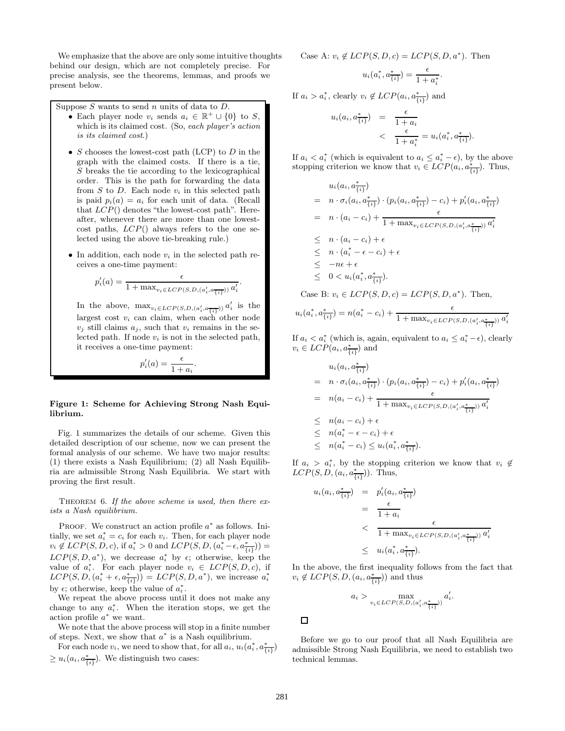We emphasize that the above are only some intuitive thoughts behind our design, which are not completely precise. For precise analysis, see the theorems, lemmas, and proofs we present below.

- Suppose  $S$  wants to send  $n$  units of data to  $D$ . • Each player node  $v_i$  sends  $a_i \in \mathbb{R}^+ \cup \{0\}$  to S, which is its claimed cost. (So, each player's action is its claimed cost.)
	- $S$  chooses the lowest-cost path (LCP) to  $D$  in the graph with the claimed costs. If there is a tie, S breaks the tie according to the lexicographical order. This is the path for forwarding the data from  $S$  to  $D$ . Each node  $v_i$  in this selected path is paid  $p_i(a) = a_i$  for each unit of data. (Recall that  $LCP()$  denotes "the lowest-cost path". Hereafter, whenever there are more than one lowestcost paths,  $LCP()$  always refers to the one selected using the above tie-breaking rule.)
	- In addition, each node  $v_i$  in the selected path receives a one-time payment:

$$
p_i'(a) = \frac{\epsilon}{1 + \max_{v_i \in LCP(S, D, (a_i', a_{\overline{\{i\}}}))} a_i'}.
$$

In the above,  $\max_{v_i \in LCP(S, D, (a'_i, a_{\overline{\{i\}}}))} a'_i$  is the largest cost  $v_i$  can claim, when each other node  $v_j$  still claims  $a_j$ , such that  $v_i$  remains in the selected path. If node  $v_i$  is not in the selected path, it receives a one-time payment:

$$
p_i'(a) = \frac{\epsilon}{1 + a_i}.
$$

#### Figure 1: Scheme for Achieving Strong Nash Equilibrium.

Fig. 1 summarizes the details of our scheme. Given this detailed description of our scheme, now we can present the formal analysis of our scheme. We have two major results: (1) there exists a Nash Equilibrium; (2) all Nash Equilibria are admissible Strong Nash Equilibria. We start with proving the first result.

THEOREM 6. If the above scheme is used, then there exists a Nash equilibrium.

PROOF. We construct an action profile  $a^*$  as follows. Initially, we set  $a_i^* = c_i$  for each  $v_i$ . Then, for each player node  $v_i \notin LCP(S, D, c)$ , if  $a_i^* > 0$  and  $LCP(S, D, (a_i^* - \epsilon, a_{\overline{\{i\}}})) =$  $LCP(S, D, a^*)$ , we decrease  $a_i^*$  by  $\epsilon$ ; otherwise, keep the value of  $a_i^*$ . For each player node  $v_i \in LCP(S, D, c)$ , if  $LCP(S, D, (a_i^* + \epsilon, a_{\overline{\{i\}}})) = LCP(S, D, a^*),$  we increase  $a_i^*$ by  $\epsilon$ ; otherwise, keep the value of  $a_i^*$ .

We repeat the above process until it does not make any change to any  $a_i^*$ . When the iteration stops, we get the action profile  $a^*$  we want.

We note that the above process will stop in a finite number of steps. Next, we show that  $a^*$  is a Nash equilibrium.

For each node  $v_i$ , we need to show that, for all  $a_i$ ,  $u_i(a_i^*, a_{\overline{\{i\}}})$  $\geq u_i(a_i, a_{\overline{\{i\}}}).$  We distinguish two cases:

Case A:  $v_i \notin LCP(S, D, c) = LCP(S, D, a^*)$ . Then

$$
u_i(a_i^*, a_{\overline{\{i\}}}) = \frac{\epsilon}{1 + a_i^*}.
$$

If  $a_i > a_i^*$ , clearly  $v_i \notin LCP(a_i, a_{\overline{\{i\}}})$  and

$$
u_i(a_i, a_{\overline{i}}^*) = \frac{\epsilon}{1 + a_i}
$$
  
< 
$$
< \frac{\epsilon}{1 + a_i^*} = u_i(a_i^*, a_{\overline{i}}^*)
$$
.

If  $a_i < a_i^*$  (which is equivalent to  $a_i \leq a_i^* - \epsilon$ ), by the above stopping criterion we know that  $v_i \in LCP(a_i, a_{\overline{\{i\}}}).$  Thus,

$$
u_i(a_i, a_{\overline{\{i\}}})
$$
\n
$$
= n \cdot \sigma_i(a_i, a_{\overline{\{i\}}}) \cdot (p_i(a_i, a_{\overline{\{i\}}}) - c_i) + p'_i(a_i, a_{\overline{\{i\}}})
$$
\n
$$
= n \cdot (a_i - c_i) + \frac{\epsilon}{1 + \max_{v_i \in LCP(S, D, (a'_i, a_{\overline{\{i\}}}))} a'_i}
$$
\n
$$
\leq n \cdot (a_i - c_i) + \epsilon
$$
\n
$$
\leq n \cdot (a_i^* - \epsilon - c_i) + \epsilon
$$
\n
$$
\leq -n\epsilon + \epsilon
$$
\n
$$
\leq 0 < u_i(a_i^*, a_{\overline{\{i\}}}).
$$

Case B:  $v_i \in LCP(S, D, c) = LCP(S, D, a^*)$ . Then,

$$
u_i(a_i^*, a_{\overline{\{i\}}}) = n(a_i^* - c_i) + \frac{\epsilon}{1 + \max_{v_i \in LCP(S, D, (a_i', a_{\overline{\{i\}}}))} a_i'}
$$

If  $a_i < a_i^*$  (which is, again, equivalent to  $a_i \leq a_i^* - \epsilon$ ), clearly  $v_i \in LCP(a_i, a_{\overline{\{i\}}})$  and

$$
u_i(a_i, a_{\overline{i}}^*)
$$
  
=  $n \cdot \sigma_i(a_i, a_{\overline{i}}^*) \cdot (p_i(a_i, a_{\overline{i}}^*) - c_i) + p_i'(a_i, a_{\overline{i}}^*)$   
=  $n(a_i - c_i) + \frac{\epsilon}{1 + \max_{v_i \in LCP(S, D, (a_i', a_{\overline{i}}^*) )} a_i'}$   
 $\le n(a_i - c_i) + \epsilon$   
 $\le n(a_i^* - \epsilon - c_i) + \epsilon$   
 $\le n(a_i^* - \epsilon) \le u_i(a_i^*, a_{\overline{i}}^*)$ .

If  $a_i > a_i^*$ , by the stopping criterion we know that  $v_i \notin$  $LCP(S, D, (a_i, a_{\overline{\{i\}}}))$ . Thus,

$$
u_i(a_i, a_{\overline{\{i\}}}) = p'_i(a_i, a_{\overline{\{i\}}})
$$
  
= 
$$
\frac{\epsilon}{1 + a_i}
$$
  
< 
$$
< \frac{\epsilon}{1 + \max_{v_i \in LCP(S, D, (a'_i, a_{\overline{\{i\}}}))} a'_i}
$$
  

$$
\leq u_i(a_i^*, a_{\overline{\{i\}}}).
$$

In the above, the first inequality follows from the fact that  $v_i \notin LCP(S, D, (a_i, a_{\overline{\{i\}}}))$  and thus

$$
a_i > \max_{v_i \in LCP(S, D, (a'_i, a^*_{\overline{\{i\}})})} a'_i.
$$

 $\Box$ 

Before we go to our proof that all Nash Equilibria are admissible Strong Nash Equilibria, we need to establish two technical lemmas.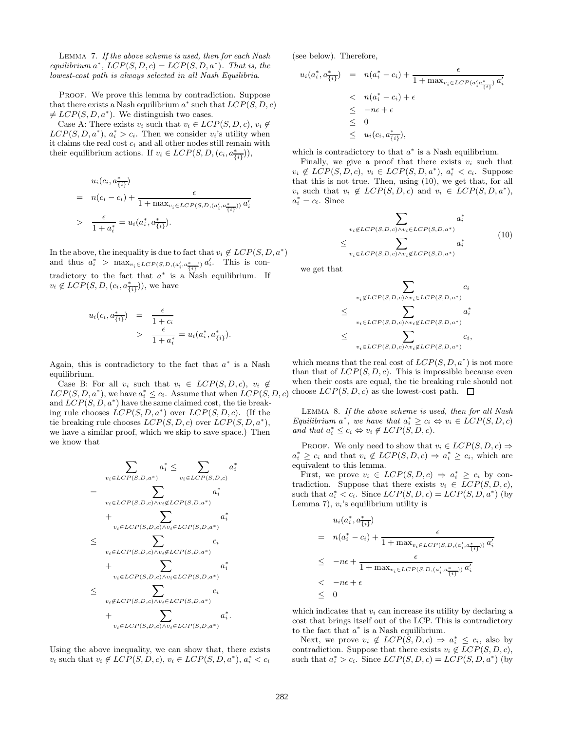Lemma 7. If the above scheme is used, then for each Nash equilibrium  $a^*$ ,  $LCP(S, D, c) = LCP(S, D, a^*)$ . That is, the lowest-cost path is always selected in all Nash Equilibria.

PROOF. We prove this lemma by contradiction. Suppose that there exists a Nash equilibrium  $a^*$  such that  $LCP(S, D, c)$  $\neq LCP(S, D, a^*)$ . We distinguish two cases.

Case A: There exists  $v_i$  such that  $v_i \in LCP(S, D, c)$ ,  $v_i \notin$  $LCP(S, D, a^*)$ ,  $a_i^* > c_i$ . Then we consider  $v_i$ 's utility when it claims the real cost  $c_i$  and all other nodes still remain with their equilibrium actions. If  $v_i \in LCP(S, D, (c_i, a_{\overline{\{i\}}}))$ ,

$$
u_i(c_i, a_{\overline{\{i\}}})
$$
  
=  $n(c_i - c_i) + \frac{\epsilon}{1 + \max_{v_i \in LCP(S, D, (a'_i, a_{\overline{\{i\}}}))} a'_i}$   
>  $\frac{\epsilon}{1 + a_i^*} = u_i(a_i^*, a_{\overline{\{i\}}}).$ 

In the above, the inequality is due to fact that  $v_i \notin LCP(S, D, a^*)$ and thus  $a_i^* > \max_{v_i \in LCP(S, D, (a'_i, a_{\{i\}}))} a'_i$ . This is contradictory to the fact that  $a^*$  is a Nash equilibrium. If  $v_i \notin LCP(S, D, (c_i, a_{\overline{\{i\}}}))$ , we have

$$
u_i(c_i, a_{\overline{\{i\}}}) = \frac{\epsilon}{1+c_i} > \frac{\epsilon}{1+a_i^*} = u_i(a_i^*, a_{\overline{\{i\}}}).
$$

Again, this is contradictory to the fact that  $a^*$  is a Nash equilibrium.

Case B: For all  $v_i$  such that  $v_i \in LCP(S, D, c)$ ,  $v_i \notin$  $LCP(S, D, a^*)$ , we have  $a_i^* \leq c_i$ . Assume that when  $LCP(S, D, c)$ and  $LCP(S, D, a^*)$  have the same claimed cost, the tie breaking rule chooses  $LCP(S, D, a^*)$  over  $LCP(S, D, c)$ . (If the tie breaking rule chooses  $LCP(S, D, c)$  over  $LCP(S, D, a^*),$ we have a similar proof, which we skip to save space.) Then we know that

$$
\sum_{v_i \in LCP(S, D, a^*)} a_i^* \leq \sum_{v_i \in LCP(S, D, c)} a_i^*
$$
 eq  
\n
$$
= \sum_{v_i \in LCP(S, D, c) \land v_i \notin LCP(S, D, a^*)} a_i^*
$$
 tri  
\n
$$
+ \sum_{v_i \in LCP(S, D, c) \land v_i \in LCP(S, D, a^*)} a_i^*
$$
 Let  
\n
$$
\leq \sum_{v_i \in LCP(S, D, c) \land v_i \notin LCP(S, D, a^*)} c_i
$$
  
\n
$$
+ \sum_{v_i \in LCP(S, D, c) \land v_i \in LCP(S, D, a^*)} a_i^*
$$
  
\n
$$
+ \sum_{v_i \in LCP(S, D, c) \land v_i \in LCP(S, D, a^*)} a_i^*
$$

Using the above inequality, we can show that, there exists  $v_i$  such that  $v_i \notin LCP(S, D, c)$ ,  $v_i \in LCP(S, D, a^*)$ ,  $a_i^* < c_i$ 

(see below). Therefore,

$$
u_i(a_i^*, a_{\overline{\{i\}}}) = n(a_i^* - c_i) + \frac{\epsilon}{1 + \max_{v_i \in LCP(a_i^{\prime}a_{\overline{\{i\}}})} a_i^{\prime}}
$$
  

$$
< n(a_i^* - c_i) + \epsilon
$$
  

$$
\leq -n\epsilon + \epsilon
$$
  

$$
\leq 0
$$
  

$$
\leq u_i(c_i, a_{\overline{\{i\}}}^*),
$$

which is contradictory to that  $a^*$  is a Nash equilibrium.

Finally, we give a proof that there exists  $v_i$  such that  $v_i \notin LCP(S, D, c), v_i \in LCP(S, D, a^*), a_i^* < c_i$ . Suppose that this is not true. Then, using (10), we get that, for all  $v_i$  such that  $v_i \notin LCP(S, D, c)$  and  $v_i \in LCP(S, D, a^*)$ ,  $a_i^* = c_i$ . Since

$$
\sum_{v_i \notin LCP(S, D, c) \land v_i \in LCP(S, D, a^*)} a_i^*
$$
\n
$$
\leq \sum_{v_i \in LCP(S, D, c) \land v_i \notin LCP(S, D, a^*)} a_i^*
$$
\n(10)

we get that

$$
\sum_{v_i \notin LCP(S, D, c) \land v_i \in LCP(S, D, a^*)} c_i
$$
\n
$$
\leq \sum_{v_i \in LCP(S, D, c) \land v_i \notin LCP(S, D, a^*)} a_i^*
$$
\n
$$
\leq \sum_{v_i \in LCP(S, D, c) \land v_i \notin LCP(S, D, a^*)} c_i,
$$

which means that the real cost of  $LCP(S, D, a^*)$  is not more than that of  $LCP(S, D, c)$ . This is impossible because even when their costs are equal, the tie breaking rule should not choose  $LCP(S, D, c)$  as the lowest-cost path.  $\square$ 

Lemma 8. If the above scheme is used, then for all Nash Equilibrium  $a^*$ , we have that  $a_i^* \geq c_i \Leftrightarrow v_i \in LCP(S, D, c)$ and that  $a_i^* \leq c_i \Leftrightarrow v_i \notin LCP(S, D, c)$ .

PROOF. We only need to show that  $v_i \in LCP(S, D, c) \Rightarrow$  $a_i^* \geq c_i$  and that  $v_i \notin LCP(S, D, c) \Rightarrow a_i^* \geq c_i$ , which are equivalent to this lemma.

First, we prove  $v_i \in LCP(S, D, c) \Rightarrow a_i^* \geq c_i$  by contradiction. Suppose that there exists  $v_i \in LCP(S, D, c)$ , such that  $a_i^* < c_i$ . Since  $LCP(S, D, c) = LCP(S, D, a^*)$  (by Lemma 7),  $v_i$ 's equilibrium utility is

$$
u_i(a_i^*, a_{\overline{\{i\}}})
$$
\n
$$
= n(a_i^* - c_i) + \frac{\epsilon}{1 + \max_{v_i \in LCP(S, D, (a_i', a_{\overline{\{i\}}}))} a_i'}
$$
\n
$$
\leq -n\epsilon + \frac{\epsilon}{1 + \max_{v_i \in LCP(S, D, (a_i', a_{\overline{\{i\}}))} a_i'}
$$
\n
$$
< -n\epsilon + \epsilon
$$
\n
$$
\leq 0
$$

which indicates that  $v_i$  can increase its utility by declaring a cost that brings itself out of the LCP. This is contradictory to the fact that  $a^*$  is a Nash equilibrium.

Next, we prove  $v_i \notin LCP(S, D, c) \Rightarrow a_i^* \leq c_i$ , also by contradiction. Suppose that there exists  $v_i \notin LCP(S, D, c)$ , such that  $a_i^* > c_i$ . Since  $LCP(S, D, c) = LCP(S, D, a^*)$  (by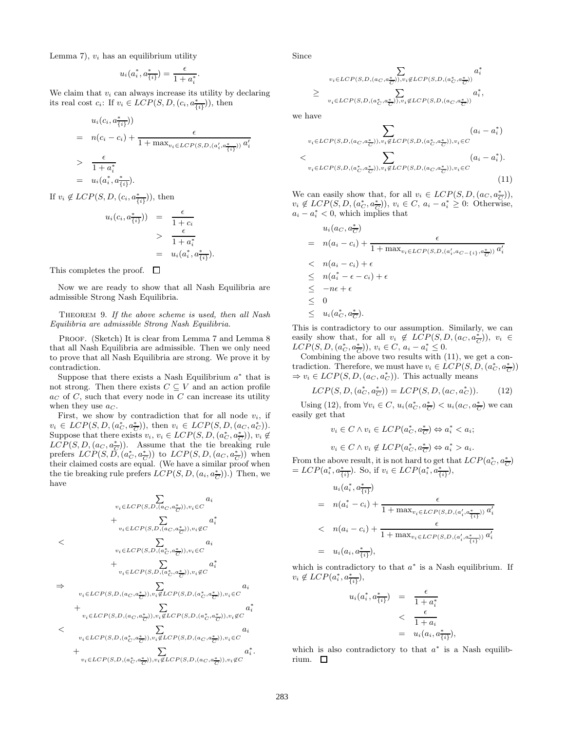Lemma 7),  $v_i$  has an equilibrium utility

$$
u_i(a_i^*, a_{\{i\}}^*) = \frac{\epsilon}{1 + a_i^*}
$$

.

We claim that  $v_i$  can always increase its utility by declaring its real cost  $c_i$ : If  $v_i \in LCP(S, D, (c_i, a_{\overline{\{i\}}}))$ , then

$$
u_i(c_i, a_{\overline{\{i\}}}))
$$
  
=  $n(c_i - c_i) + \frac{\epsilon}{1 + \max_{v_i \in LCP(S, D, (a'_i, a_{\overline{\{i\}}}))} a'_i}$   
>  $\frac{\epsilon}{1 + a_i^*}$   
=  $u_i(a_i^*, a_{\overline{\{i\}}}).$ 

If  $v_i \notin LCP(S, D, (c_i, a_{\overline{\{i\}}}))$ , then

$$
u_i(c_i, a_{\overline{i}}^*) ) = \frac{\epsilon}{1+c_i}
$$
  
> 
$$
\frac{\epsilon}{1+a_i^*}
$$
  
= 
$$
u_i(a_i^*, a_{\overline{i}}^*) .
$$

This completes the proof.  $\Box$ 

Now we are ready to show that all Nash Equilibria are admissible Strong Nash Equilibria.

THEOREM 9. If the above scheme is used, then all Nash Equilibria are admissible Strong Nash Equilibria.

PROOF. (Sketch) It is clear from Lemma 7 and Lemma 8 that all Nash Equilibria are admissible. Then we only need to prove that all Nash Equilibria are strong. We prove it by contradiction.

Suppose that there exists a Nash Equilibrium  $a^*$  that is not strong. Then there exists  $C \subseteq V$  and an action profile  $a<sub>C</sub>$  of C, such that every node in C can increase its utility when they use  $a_C$ .

First, we show by contradiction that for all node  $v_i$ , if  $v_i \in LCP(S, D, (a_C^*, a_{\overline{C}}^*)), \text{ then } v_i \in LCP(S, D, (a_C, a_C^*)).$ Suppose that there exists  $v_i, v_i \in LCP(S, D, (a_C^*, a_{\overline{C}}^*)), v_i \notin$  $LCP(S, D, (a_C, a_C^{\ast}))$ . Assume that the tie breaking rule prefers  $LCP(S, D, (a_C^*, a_{\overline{C}}^*))$  to  $LCP(S, D, (a_C, a_{\overline{C}}^*))$  when their claimed costs are equal. (We have a similar proof when the tie breaking rule prefers  $LCP(S, D, (a_i, a^*_{\overline{C}}))$ .) Then, we have

$$
\sum\limits_{v_i \in LCP(S, D, (a_C, a^*_{\overline{C}})), v_i \in C} a_i \\ + \sum\limits_{v_i \in LCP(S, D, (a_C, a^*_{\overline{C}})), v_i \notin C} a_i^* \\ < \\ \leq \sum\limits_{v_i \in LCP(S, D, (a^*_{C}, a^*_{\overline{C}})), v_i \in C} a_i \\ + \sum\limits_{v_i \in LCP(S, D, (a^*_{C}, a^*_{\overline{C}})), v_i \notin C} a_i^* \\ \Rightarrow \sum\limits_{v_i \in LCP(S, D, (a_C, a^*_{\overline{C}})), v_i \notin LCP(S, D, (a^*_{C}, a^*_{\overline{C}})), v_i \in C} a_i \\ + \sum\limits_{v_i \in LCP(S, D, (a_C, a^*_{\overline{C}})), v_i \notin LCP(S, D, (a^*_{C}, a^*_{\overline{C}})), v_i \notin C} a_i^* \\ < \\ \leq \sum\limits_{v_i \in LCP(S, D, (a^*_{C}, a^*_{\overline{C}})), v_i \notin LCP(S, D, (a_C, a^*_{\overline{C}})), v_i \in C} a_i^* \\ + \sum\limits_{v_i \in LCP(S, D, (a^*_{C}, a^*_{\overline{C}})), v_i \notin LCP(S, D, (a_C, a^*_{\overline{C}})), v_i \notin C} a_i^*.
$$

Since

$$
\geq \sum_{v_i \in LCP(S, D, (a_C^*, a_{\overline{C}}^*)), v_i \notin LCP(S, D, (a_C^*, a_{\overline{C}}^*) )} a_i^* \geq \sum_{v_i \in LCP(S, D, (a_C^*, a_{\overline{C}}^*)), v_i \notin LCP(S, D, (a_C, a_{\overline{C}}^*) )} a_i^*,
$$

we have

$$
\sum_{v_i \in LCP(S, D, (a_C, a_C^*)), v_i \notin LCP(S, D, (a_C^*, a_C^*)), v_i \in C} (a_i - a_i^*)
$$
  

$$
< \sum_{v_i \in LCP(S, D, (a_C^*, a_C^*)), v_i \notin LCP(S, D, (a_C, a_C^*)), v_i \in C} (a_i - a_i^*).
$$
(11)

We can easily show that, for all  $v_i \in LCP(S, D, (a_C, a_{\overline{C}}^*)),$  $v_i \notin LCP(S, D, (a_C^*, a_{\overline{C}}^*)), v_i \in C, a_i - a_i^* \geq 0$ : Otherwise,  $a_i - a_i^* < 0$ , which implies that

$$
u_i(a_C, a_{\overline{C}}^*)
$$
\n
$$
= n(a_i - c_i) + \frac{\epsilon}{1 + \max_{v_i \in LCP(S, D, (a'_i, a_{C - \{i\}}, a_{\overline{C}}^*))} a'_i}
$$
\n
$$
< n(a_i - c_i) + \epsilon
$$
\n
$$
\leq n(a_i^* - \epsilon - c_i) + \epsilon
$$
\n
$$
\leq -n\epsilon + \epsilon
$$
\n
$$
\leq 0
$$
\n
$$
u_i(a_C^*, a_{\overline{C}}^*).
$$

This is contradictory to our assumption. Similarly, we can easily show that, for all  $v_i \notin LCP(S, D, (ac, a\overline{C})), v_i \in$  $LCP(S, D, (a_C^*, a_{\overline{C}}^*)), v_i \in C, a_i - a_i^* \leq 0.$ 

Combining the above two results with (11), we get a contradiction. Therefore, we must have  $v_i \in LCP(S, D, (a_C^*, a_{\overline{C}}^*))$  $\Rightarrow v_i \in LCP(S, D, (a_C, a_C^*))$ . This actually means

$$
LCP(S, D, (a_C^*, a_{\overline{C}}^*)) = LCP(S, D, (a_C, a_C^*)). \tag{12}
$$

Using (12), from  $\forall v_i \in C$ ,  $u_i(a_C^*, a_C^*) < u_i(a_C, a_C^*)$  we can easily get that

$$
v_i \in C \land v_i \in LCP(a_C^*, a_{\overline{C}}^*) \Leftrightarrow a_i^* < a_i;
$$
\n
$$
v_i \in C \land v_i \notin LCP(a_C^*, a_{\overline{C}}^*) \Leftrightarrow a_i^* > a_i.
$$

From the above result, it is not hard to get that  $LCP(a_C^*, a_{\overline{C}}^*)$  $= LCP(a_i^*, a_{\overline{\{i\}}})$ . So, if  $v_i \in LCP(a_i^*, a_{\overline{\{i\}}})$ ,

$$
u_i(a_i^*, a_{\{i\}}^*)
$$
\n
$$
= n(a_i^* - c_i) + \frac{\epsilon}{1 + \max_{v_i \in LCP(S, D, (a_i', a_{\{i\}}^*))} a_i'}
$$
\n
$$
< n(a_i - c_i) + \frac{\epsilon}{1 + \max_{v_i \in LCP(S, D, (a_i', a_{\{i\}}^*))} a_i'}
$$
\n
$$
= u_i(a_i, a_{\{i\}}^*)
$$

which is contradictory to that  $a^*$  is a Nash equilibrium. If  $v_i \notin LCP(a_i^*, a_{\overline{\{i\}}}),$ 

$$
u_i(a_i^*, a_{\overline{\{i\}}}) = \frac{\epsilon}{1 + a_i^*}
$$
  

$$
< \frac{\epsilon}{1 + a_i}
$$
  

$$
= u_i(a_i, a_{\overline{\{i\}}})
$$

which is also contradictory to that  $a^*$  is a Nash equilibrium.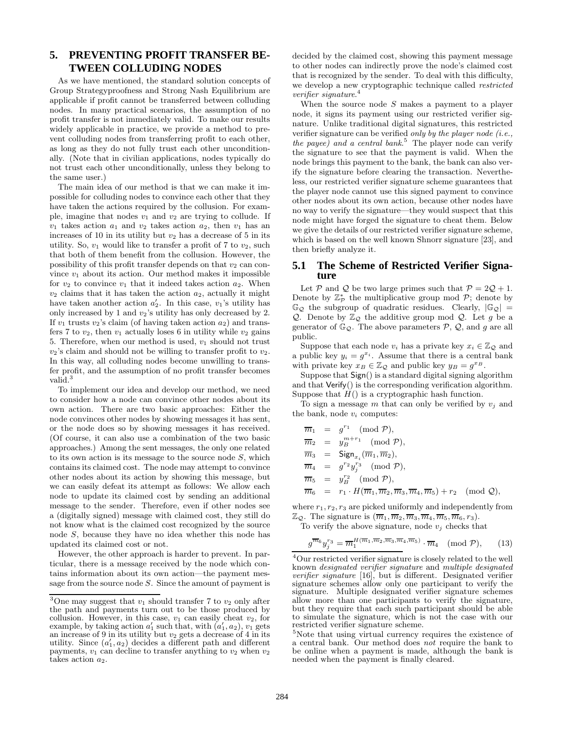# **5. PREVENTING PROFIT TRANSFER BE-TWEEN COLLUDING NODES**

As we have mentioned, the standard solution concepts of Group Strategyproofness and Strong Nash Equilibrium are applicable if profit cannot be transferred between colluding nodes. In many practical scenarios, the assumption of no profit transfer is not immediately valid. To make our results widely applicable in practice, we provide a method to prevent colluding nodes from transferring profit to each other, as long as they do not fully trust each other unconditionally. (Note that in civilian applications, nodes typically do not trust each other unconditionally, unless they belong to the same user.)

The main idea of our method is that we can make it impossible for colluding nodes to convince each other that they have taken the actions required by the collusion. For example, imagine that nodes  $v_1$  and  $v_2$  are trying to collude. If  $v_1$  takes action  $a_1$  and  $v_2$  takes action  $a_2$ , then  $v_1$  has an increases of 10 in its utility but  $v_2$  has a decrease of 5 in its utility. So,  $v_1$  would like to transfer a profit of 7 to  $v_2$ , such that both of them benefit from the collusion. However, the possibility of this profit transfer depends on that  $v_2$  can convince  $v_1$  about its action. Our method makes it impossible for  $v_2$  to convince  $v_1$  that it indeed takes action  $a_2$ . When  $v_2$  claims that it has taken the action  $a_2$ , actually it might have taken another action  $a'_2$ . In this case,  $v_1$ 's utility has only increased by 1 and  $v_2$ 's utility has only decreased by 2. If  $v_1$  trusts  $v_2$ 's claim (of having taken action  $a_2$ ) and transfers 7 to  $v_2$ , then  $v_1$  actually loses 6 in utility while  $v_2$  gains 5. Therefore, when our method is used,  $v_1$  should not trust  $v_2$ 's claim and should not be willing to transfer profit to  $v_2$ . In this way, all colluding nodes become unwilling to transfer profit, and the assumption of no profit transfer becomes valid.<sup>3</sup>

To implement our idea and develop our method, we need to consider how a node can convince other nodes about its own action. There are two basic approaches: Either the node convinces other nodes by showing messages it has sent, or the node does so by showing messages it has received. (Of course, it can also use a combination of the two basic approaches.) Among the sent messages, the only one related to its own action is its message to the source node  $S$ , which contains its claimed cost. The node may attempt to convince other nodes about its action by showing this message, but we can easily defeat its attempt as follows: We allow each node to update its claimed cost by sending an additional message to the sender. Therefore, even if other nodes see a (digitally signed) message with claimed cost, they still do not know what is the claimed cost recognized by the source node S, because they have no idea whether this node has updated its claimed cost or not.

However, the other approach is harder to prevent. In particular, there is a message received by the node which contains information about its own action—the payment message from the source node S. Since the amount of payment is decided by the claimed cost, showing this payment message to other nodes can indirectly prove the node's claimed cost that is recognized by the sender. To deal with this difficulty, we develop a new cryptographic technique called restricted verifier signature. 4

When the source node  $S$  makes a payment to a player node, it signs its payment using our restricted verifier signature. Unlike traditional digital signatures, this restricted verifier signature can be verified only by the player node (i.e., the payee) and a central bank.<sup>5</sup> The player node can verify the signature to see that the payment is valid. When the node brings this payment to the bank, the bank can also verify the signature before clearing the transaction. Nevertheless, our restricted verifier signature scheme guarantees that the player node cannot use this signed payment to convince other nodes about its own action, because other nodes have no way to verify the signature—they would suspect that this node might have forged the signature to cheat them. Below we give the details of our restricted verifier signature scheme, which is based on the well known Shnorr signature [23], and then briefly analyze it.

#### **5.1 The Scheme of Restricted Verifier Signature**

Let P and Q be two large primes such that  $P = 2Q + 1$ . Denote by  $\mathbb{Z}_p^*$  the multiplicative group mod  $\mathcal{P}$ ; denote by  $\mathbb{G}_{\mathcal{Q}}$  the subgroup of quadratic residues. Clearly,  $|\mathbb{G}_{\mathcal{Q}}|$  = Q. Denote by  $\mathbb{Z}_{\mathcal{Q}}$  the additive group mod Q. Let g be a generator of  $\mathbb{G}_{\mathcal{Q}}$ . The above parameters  $\mathcal{P}, \mathcal{Q}$ , and g are all public.

Suppose that each node  $v_i$  has a private key  $x_i \in \mathbb{Z}_Q$  and a public key  $y_i = g^{x_i}$ . Assume that there is a central bank with private key  $x_B \in \mathbb{Z}_{\mathcal{Q}}$  and public key  $y_B = g^{x_B}$ .

Suppose that Sign() is a standard digital signing algorithm and that Verify() is the corresponding verification algorithm. Suppose that  $H()$  is a cryptographic hash function.

To sign a message m that can only be verified by  $v_i$  and the bank, node  $v_i$  computes:

$$
\overline{m}_1 = g^{r_1} \pmod{\mathcal{P}},
$$
  
\n
$$
\overline{m}_2 = y_B^{m+r_1} \pmod{\mathcal{P}},
$$
  
\n
$$
\overline{m}_3 = \text{Sign}_{x_i}(\overline{m}_1, \overline{m}_2),
$$
  
\n
$$
\overline{m}_4 = g^{r_2} y_j^{r_3} \pmod{\mathcal{P}},
$$
  
\n
$$
\overline{m}_5 = y_B^{r_2} \pmod{\mathcal{P}},
$$
  
\n
$$
\overline{m}_6 = r_1 \cdot H(\overline{m}_1, \overline{m}_2, \overline{m}_3, \overline{m}_4, \overline{m}_5) + r_2 \pmod{\mathcal{Q}},
$$

where  $r_1, r_2, r_3$  are picked uniformly and independently from  $\mathbb{Z}_{\mathcal{Q}}$ . The signature is  $(\overline{m}_1, \overline{m}_2, \overline{m}_3, \overline{m}_4, \overline{m}_5, \overline{m}_6, r_3)$ .

To verify the above signature, node  $v_i$  checks that

$$
g^{\overline{m}_6} y_j^{r_3} = \overline{m}_1^{H(\overline{m}_1, \overline{m}_2, \overline{m}_3, \overline{m}_4, \overline{m}_5)} \cdot \overline{m}_4 \pmod{P},\qquad(13)
$$

<sup>&</sup>lt;sup>3</sup>One may suggest that  $v_1$  should transfer 7 to  $v_2$  only after the path and payments turn out to be those produced by collusion. However, in this case,  $v_1$  can easily cheat  $v_2$ , for example, by taking action  $a'_1$  such that, with  $(a'_1, a_2)$ ,  $v_1$  gets an increase of 9 in its utility but  $v_2$  gets a decrease of 4 in its utility. Since  $(a'_1, a_2)$  decides a different path and different payments,  $v_1$  can decline to transfer anything to  $v_2$  when  $v_2$ takes action  $a_2$ .

 $\overline{^{4}$ Our restricted verifier signature is closely related to the well known designated verifier signature and multiple designated verifier signature [16], but is different. Designated verifier signature schemes allow only one participant to verify the signature. Multiple designated verifier signature schemes allow more than one participants to verify the signature, but they require that each such participant should be able to simulate the signature, which is not the case with our restricted verifier signature scheme.

<sup>&</sup>lt;sup>5</sup>Note that using virtual currency requires the existence of a central bank. Our method does not require the bank to be online when a payment is made, although the bank is needed when the payment is finally cleared.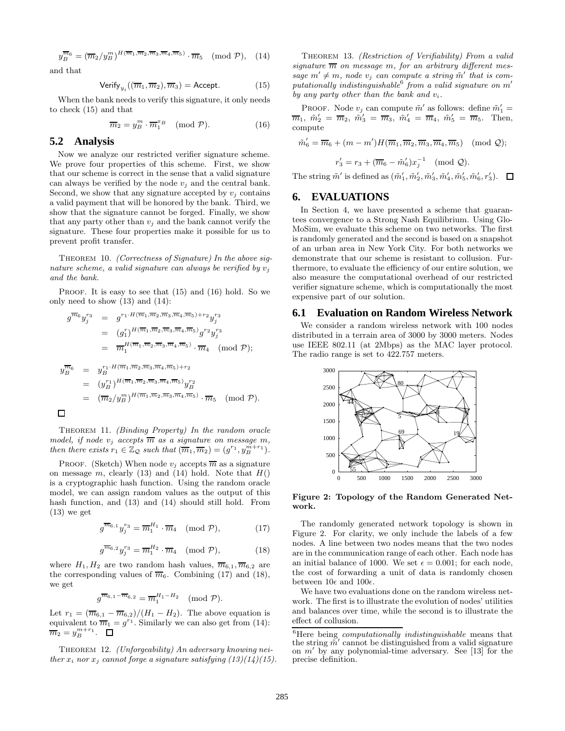$y_{B}^{\overline{m}_{6}} = (\overline{m}_{2}/y_{B}^{m})^{H(\overline{m}_{1},\overline{m}_{2},\overline{m}_{3},\overline{m}_{4},\overline{m}_{5})}$  $(mod \mathcal{P}), (14)$ and that

$$
Verify_{y_i}((\overline{m}_1, \overline{m}_2), \overline{m}_3) = Accept.
$$
 (15)

When the bank needs to verify this signature, it only needs to check (15) and that

$$
\overline{m}_2 = y_B^m \cdot \overline{m}_1^{x_B} \pmod{\mathcal{P}}.
$$
 (16)

## **5.2 Analysis**

Now we analyze our restricted verifier signature scheme. We prove four properties of this scheme. First, we show that our scheme is correct in the sense that a valid signature can always be verified by the node  $v_j$  and the central bank. Second, we show that any signature accepted by  $v_j$  contains a valid payment that will be honored by the bank. Third, we show that the signature cannot be forged. Finally, we show that any party other than  $v_i$  and the bank cannot verify the signature. These four properties make it possible for us to prevent profit transfer.

THEOREM 10. (Correctness of Signature) In the above signature scheme, a valid signature can always be verified by  $v_i$ and the bank.

PROOF. It is easy to see that  $(15)$  and  $(16)$  hold. So we only need to show  $(13)$  and  $(14)$ :

$$
g^{\overline{m}_6} y_j^{r_3} = g^{r_1 \cdot H(\overline{m}_1, \overline{m}_2, \overline{m}_3, \overline{m}_4, \overline{m}_5) + r_2} y_j^{r_3}
$$
  
\n
$$
= (g_1^r)^{H(\overline{m}_1, \overline{m}_2, \overline{m}_3, \overline{m}_4, \overline{m}_5)} g^{r_2} y_j^{r_3}
$$
  
\n
$$
= \overline{m}_1^{H(\overline{m}_1, \overline{m}_2, \overline{m}_3, \overline{m}_4, \overline{m}_5)} \cdot \overline{m}_4 \pmod{\mathcal{P}};
$$
  
\n
$$
y_B^{\overline{m}_6} = y_B^{r_1 \cdot H(\overline{m}_1, \overline{m}_2, \overline{m}_3, \overline{m}_4, \overline{m}_5) + r_2}
$$
  
\n
$$
= (y_B^{r_1})^{H(\overline{m}_1, \overline{m}_2, \overline{m}_3, \overline{m}_4, \overline{m}_5)} y_B^{r_2}
$$
  
\n
$$
= (\overline{m}_2/y_B^m)^{H(\overline{m}_1, \overline{m}_2, \overline{m}_3, \overline{m}_4, \overline{m}_5)} \cdot \overline{m}_5 \pmod{\mathcal{P}}.
$$

Theorem 11. (Binding Property) In the random oracle model, if node  $v_j$  accepts  $\overline{m}$  as a signature on message  $m$ , then there exists  $r_1 \in \mathbb{Z}_Q$  such that  $(\overline{m}_1, \overline{m}_2) = (g^{r_1}, y_B^{\overline{m}+r_1}).$ 

PROOF. (Sketch) When node  $v_j$  accepts  $\overline{m}$  as a signature on message  $m$ , clearly (13) and (14) hold. Note that  $H()$ is a cryptographic hash function. Using the random oracle model, we can assign random values as the output of this hash function, and (13) and (14) should still hold. From (13) we get

$$
g^{\overline{m}_{6,1}}y_j^{r_3} = \overline{m}_1^{H_1} \cdot \overline{m}_4 \pmod{\mathcal{P}},\tag{17}
$$

$$
g^{\overline{m}_{6,2}}y_j^{r_3} = \overline{m}_1^{H_2} \cdot \overline{m}_4 \pmod{\mathcal{P}},\tag{18}
$$

where  $H_1, H_2$  are two random hash values,  $\overline{m}_{6,1}, \overline{m}_{6,2}$  are the corresponding values of  $\overline{m}_6$ . Combining (17) and (18), we get

$$
g^{\overline{m}_{6,1}-\overline{m}_{6,2}} = \overline{m}_1^{H_1-H_2} \pmod{\mathcal{P}}.
$$

Let  $r_1 = (\overline{m}_{6,1} - \overline{m}_{6,2})/(H_1 - H_2)$ . The above equation is equivalent to  $\overline{m}_1 = g^{r_1}$ . Similarly we can also get from (14):  $\overline{m}_2 = y_B^{m+r_1}.$ 

THEOREM 12. (Unforgeability) An adversary knowing neither  $x_i$  nor  $x_j$  cannot forge a signature satisfying  $(13)(14)(15)$ .

Theorem 13. (Restriction of Verifiability) From a valid signature  $\overline{m}$  on message m, for an arbitrary different message  $m' \neq m$ , node  $v_j$  can compute a string  $\tilde{m}'$  that is computationally indistinguishable  $6$  from a valid signature on m' by any party other than the bank and  $v_i$ .

PROOF. Node  $v_j$  can compute  $\tilde{m}'$  as follows: define  $\tilde{m}'_1$  =  $\overline{m}_1, \ \tilde{m}'_2 = \overline{m}_2, \ \tilde{m}'_3 = \overline{m}_3, \ \tilde{m}'_4 = \overline{m}_4, \ \tilde{m}'_5 = \overline{m}_5.$  Then, compute

$$
\tilde{m}'_6 = \overline{m}_6 + (m - m')H(\overline{m}_1, \overline{m}_2, \overline{m}_3, \overline{m}_4, \overline{m}_5) \pmod{Q};
$$

$$
r'_3 = r_3 + (\overline{m}_6 - \tilde{m}'_6)x_j^{-1} \pmod{Q}.
$$

The string  $\tilde{m}'$  is defined as  $(\tilde{m}'_1, \tilde{m}'_2, \tilde{m}'_3, \tilde{m}'_4, \tilde{m}'_5, \tilde{m}'_6, r'_3)$ .

#### **6. EVALUATIONS**

In Section 4, we have presented a scheme that guarantees convergence to a Strong Nash Equilibrium. Using Glo-MoSim, we evaluate this scheme on two networks. The first is randomly generated and the second is based on a snapshot of an urban area in New York City. For both networks we demonstrate that our scheme is resistant to collusion. Furthermore, to evaluate the efficiency of our entire solution, we also measure the computational overhead of our restricted verifier signature scheme, which is computationally the most expensive part of our solution.

#### **6.1 Evaluation on Random Wireless Network**

We consider a random wireless network with 100 nodes distributed in a terrain area of 3000 by 3000 meters. Nodes use IEEE 802.11 (at 2Mbps) as the MAC layer protocol. The radio range is set to 422.757 meters.



Figure 2: Topology of the Random Generated Network.

The randomly generated network topology is shown in Figure 2. For clarity, we only include the labels of a few nodes. A line between two nodes means that the two nodes are in the communication range of each other. Each node has an initial balance of 1000. We set  $\epsilon = 0.001$ ; for each node, the cost of forwarding a unit of data is randomly chosen between  $10\epsilon$  and  $100\epsilon$ .

We have two evaluations done on the random wireless network. The first is to illustrate the evolution of nodes' utilities and balances over time, while the second is to illustrate the effect of collusion.

 ${}^{6}$ Here being *computationally indistinguishable* means that the string  $\tilde{m}'$  cannot be distinguished from a valid signature on  $m'$  by any polynomial-time adversary. See [13] for the precise definition.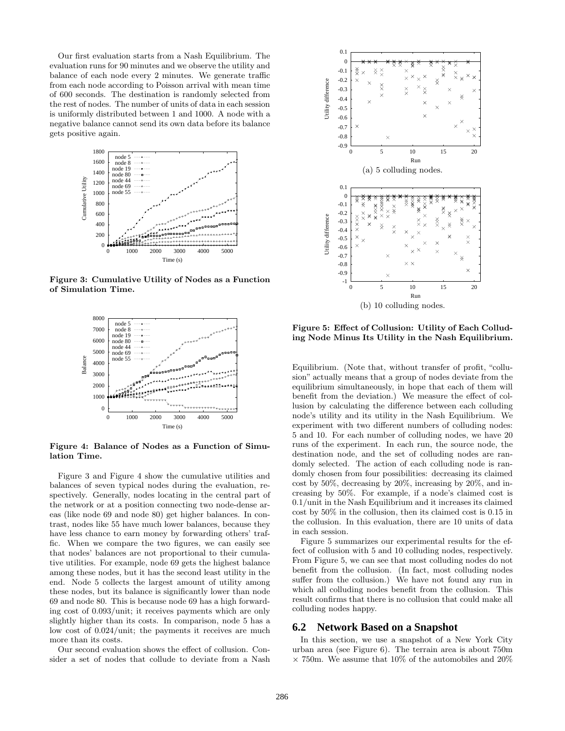Our first evaluation starts from a Nash Equilibrium. The evaluation runs for 90 minutes and we observe the utility and balance of each node every 2 minutes. We generate traffic from each node according to Poisson arrival with mean time of 600 seconds. The destination is randomly selected from the rest of nodes. The number of units of data in each session is uniformly distributed between 1 and 1000. A node with a negative balance cannot send its own data before its balance gets positive again.



Figure 3: Cumulative Utility of Nodes as a Function of Simulation Time.



Figure 4: Balance of Nodes as a Function of Simulation Time.

Figure 3 and Figure 4 show the cumulative utilities and balances of seven typical nodes during the evaluation, respectively. Generally, nodes locating in the central part of the network or at a position connecting two node-dense areas (like node 69 and node 80) get higher balances. In contrast, nodes like 55 have much lower balances, because they have less chance to earn money by forwarding others' traffic. When we compare the two figures, we can easily see that nodes' balances are not proportional to their cumulative utilities. For example, node 69 gets the highest balance among these nodes, but it has the second least utility in the end. Node 5 collects the largest amount of utility among these nodes, but its balance is significantly lower than node 69 and node 80. This is because node 69 has a high forwarding cost of 0.093/unit; it receives payments which are only slightly higher than its costs. In comparison, node 5 has a low cost of 0.024/unit; the payments it receives are much more than its costs.

Our second evaluation shows the effect of collusion. Consider a set of nodes that collude to deviate from a Nash



Figure 5: Effect of Collusion: Utility of Each Colluding Node Minus Its Utility in the Nash Equilibrium.

Equilibrium. (Note that, without transfer of profit, "collusion" actually means that a group of nodes deviate from the equilibrium simultaneously, in hope that each of them will benefit from the deviation.) We measure the effect of collusion by calculating the difference between each colluding node's utility and its utility in the Nash Equilibrium. We experiment with two different numbers of colluding nodes: 5 and 10. For each number of colluding nodes, we have 20 runs of the experiment. In each run, the source node, the destination node, and the set of colluding nodes are randomly selected. The action of each colluding node is randomly chosen from four possibilities: decreasing its claimed cost by 50%, decreasing by 20%, increasing by 20%, and increasing by 50%. For example, if a node's claimed cost is 0.1/unit in the Nash Equilibrium and it increases its claimed cost by 50% in the collusion, then its claimed cost is 0.15 in the collusion. In this evaluation, there are 10 units of data in each session.

Figure 5 summarizes our experimental results for the effect of collusion with 5 and 10 colluding nodes, respectively. From Figure 5, we can see that most colluding nodes do not benefit from the collusion. (In fact, most colluding nodes suffer from the collusion.) We have not found any run in which all colluding nodes benefit from the collusion. This result confirms that there is no collusion that could make all colluding nodes happy.

#### **6.2 Network Based on a Snapshot**

In this section, we use a snapshot of a New York City urban area (see Figure 6). The terrain area is about 750m  $\times$  750m. We assume that 10% of the automobiles and 20%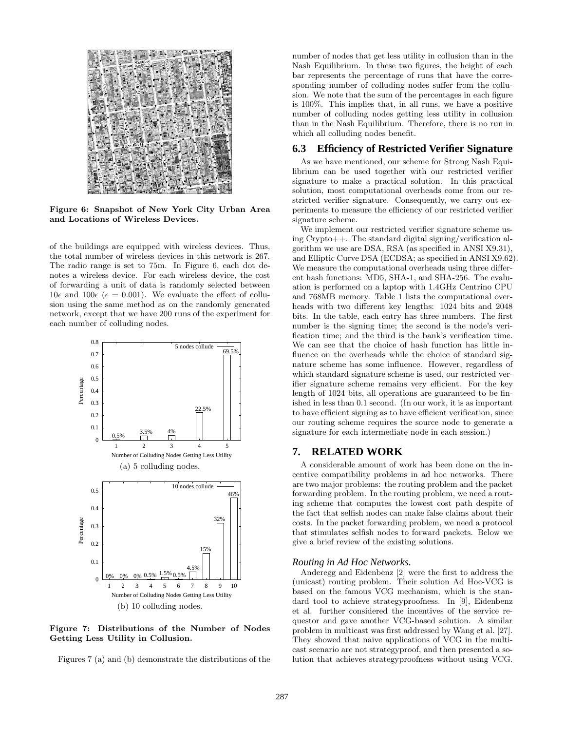

Figure 6: Snapshot of New York City Urban Area and Locations of Wireless Devices.

of the buildings are equipped with wireless devices. Thus, the total number of wireless devices in this network is 267. The radio range is set to 75m. In Figure 6, each dot denotes a wireless device. For each wireless device, the cost of forwarding a unit of data is randomly selected between  $10\epsilon$  and  $100\epsilon$  ( $\epsilon = 0.001$ ). We evaluate the effect of collusion using the same method as on the randomly generated network, except that we have 200 runs of the experiment for each number of colluding nodes.



Figure 7: Distributions of the Number of Nodes Getting Less Utility in Collusion.

Figures 7 (a) and (b) demonstrate the distributions of the

number of nodes that get less utility in collusion than in the Nash Equilibrium. In these two figures, the height of each bar represents the percentage of runs that have the corresponding number of colluding nodes suffer from the collusion. We note that the sum of the percentages in each figure is 100%. This implies that, in all runs, we have a positive number of colluding nodes getting less utility in collusion than in the Nash Equilibrium. Therefore, there is no run in which all colluding nodes benefit.

#### **6.3 Efficiency of Restricted Verifier Signature**

As we have mentioned, our scheme for Strong Nash Equilibrium can be used together with our restricted verifier signature to make a practical solution. In this practical solution, most computational overheads come from our restricted verifier signature. Consequently, we carry out experiments to measure the efficiency of our restricted verifier signature scheme.

We implement our restricted verifier signature scheme using Crypto++. The standard digital signing/verification algorithm we use are DSA, RSA (as specified in ANSI X9.31), and Elliptic Curve DSA (ECDSA; as specified in ANSI X9.62). We measure the computational overheads using three different hash functions: MD5, SHA-1, and SHA-256. The evaluation is performed on a laptop with 1.4GHz Centrino CPU and 768MB memory. Table 1 lists the computational overheads with two different key lengths: 1024 bits and 2048 bits. In the table, each entry has three numbers. The first number is the signing time; the second is the node's verification time; and the third is the bank's verification time. We can see that the choice of hash function has little influence on the overheads while the choice of standard signature scheme has some influence. However, regardless of which standard signature scheme is used, our restricted verifier signature scheme remains very efficient. For the key length of 1024 bits, all operations are guaranteed to be finished in less than 0.1 second. (In our work, it is as important to have efficient signing as to have efficient verification, since our routing scheme requires the source node to generate a signature for each intermediate node in each session.)

## **7. RELATED WORK**

A considerable amount of work has been done on the incentive compatibility problems in ad hoc networks. There are two major problems: the routing problem and the packet forwarding problem. In the routing problem, we need a routing scheme that computes the lowest cost path despite of the fact that selfish nodes can make false claims about their costs. In the packet forwarding problem, we need a protocol that stimulates selfish nodes to forward packets. Below we give a brief review of the existing solutions.

#### *Routing in Ad Hoc Networks.*

Anderegg and Eidenbenz [2] were the first to address the (unicast) routing problem. Their solution Ad Hoc-VCG is based on the famous VCG mechanism, which is the standard tool to achieve strategyproofness. In [9], Eidenbenz et al. further considered the incentives of the service requestor and gave another VCG-based solution. A similar problem in multicast was first addressed by Wang et al. [27]. They showed that naive applications of VCG in the multicast scenario are not strategyproof, and then presented a solution that achieves strategyproofness without using VCG.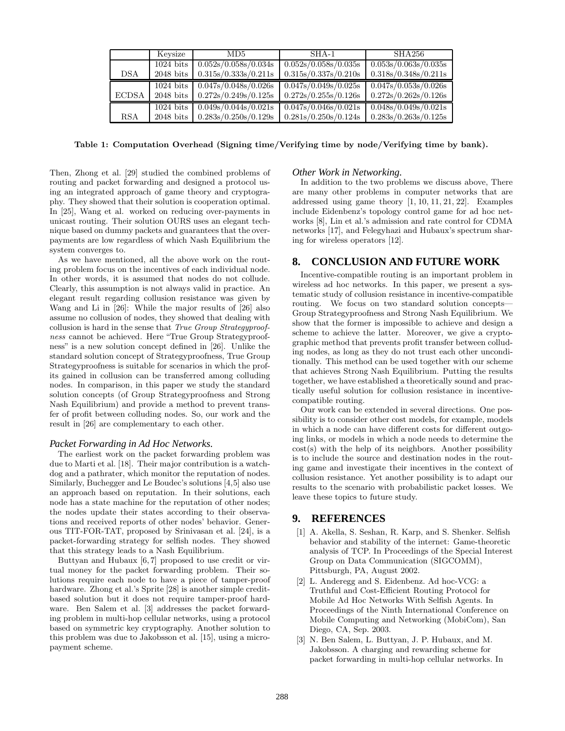|              | Keysize     | MD5                  | $SHA-1$              | SHA256               |
|--------------|-------------|----------------------|----------------------|----------------------|
|              | $1024$ bits | 0.052s/0.058s/0.034s | 0.052s/0.058s/0.035s | 0.053s/0.063s/0.035s |
| DSA          | $2048$ bits | 0.315s/0.333s/0.211s | 0.315s/0.337s/0.210s | 0.318s/0.348s/0.211s |
|              | $1024$ bits | 0.047s/0.048s/0.026s | 0.047s/0.049s/0.025s | 0.047s/0.053s/0.026s |
| <b>ECDSA</b> | $2048$ bits | 0.272s/0.249s/0.125s | 0.272s/0.255s/0.126s | 0.272s/0.262s/0.126s |
|              | $1024$ bits | 0.049s/0.044s/0.021s | 0.047s/0.046s/0.021s | 0.048s/0.049s/0.021s |
| RSA          | $2048$ bits | 0.283s/0.250s/0.129s | 0.281s/0.250s/0.124s | 0.283s/0.263s/0.125s |

Table 1: Computation Overhead (Signing time/Verifying time by node/Verifying time by bank).

Then, Zhong et al. [29] studied the combined problems of routing and packet forwarding and designed a protocol using an integrated approach of game theory and cryptography. They showed that their solution is cooperation optimal. In [25], Wang et al. worked on reducing over-payments in unicast routing. Their solution OURS uses an elegant technique based on dummy packets and guarantees that the overpayments are low regardless of which Nash Equilibrium the system converges to.

As we have mentioned, all the above work on the routing problem focus on the incentives of each individual node. In other words, it is assumed that nodes do not collude. Clearly, this assumption is not always valid in practice. An elegant result regarding collusion resistance was given by Wang and Li in [26]: While the major results of [26] also assume no collusion of nodes, they showed that dealing with collusion is hard in the sense that True Group Strategyproofness cannot be achieved. Here "True Group Strategyproofness" is a new solution concept defined in [26]. Unlike the standard solution concept of Strategyproofness, True Group Strategyproofness is suitable for scenarios in which the profits gained in collusion can be transferred among colluding nodes. In comparison, in this paper we study the standard solution concepts (of Group Strategyproofness and Strong Nash Equilibrium) and provide a method to prevent transfer of profit between colluding nodes. So, our work and the result in [26] are complementary to each other.

#### *Packet Forwarding in Ad Hoc Networks.*

The earliest work on the packet forwarding problem was due to Marti et al. [18]. Their major contribution is a watchdog and a pathrater, which monitor the reputation of nodes. Similarly, Buchegger and Le Boudec's solutions [4,5] also use an approach based on reputation. In their solutions, each node has a state machine for the reputation of other nodes; the nodes update their states according to their observations and received reports of other nodes' behavior. Generous TIT-FOR-TAT, proposed by Srinivasan et al. [24], is a packet-forwarding strategy for selfish nodes. They showed that this strategy leads to a Nash Equilibrium.

Buttyan and Hubaux [6, 7] proposed to use credit or virtual money for the packet forwarding problem. Their solutions require each node to have a piece of tamper-proof hardware. Zhong et al.'s Sprite [28] is another simple creditbased solution but it does not require tamper-proof hardware. Ben Salem et al. [3] addresses the packet forwarding problem in multi-hop cellular networks, using a protocol based on symmetric key cryptography. Another solution to this problem was due to Jakobsson et al. [15], using a micropayment scheme.

#### *Other Work in Networking.*

In addition to the two problems we discuss above, There are many other problems in computer networks that are addressed using game theory [1, 10, 11, 21, 22]. Examples include Eidenbenz's topology control game for ad hoc networks [8], Lin et al.'s admission and rate control for CDMA networks [17], and Felegyhazi and Hubaux's spectrum sharing for wireless operators [12].

## **8. CONCLUSION AND FUTURE WORK**

Incentive-compatible routing is an important problem in wireless ad hoc networks. In this paper, we present a systematic study of collusion resistance in incentive-compatible routing. We focus on two standard solution concepts— Group Strategyproofness and Strong Nash Equilibrium. We show that the former is impossible to achieve and design a scheme to achieve the latter. Moreover, we give a cryptographic method that prevents profit transfer between colluding nodes, as long as they do not trust each other unconditionally. This method can be used together with our scheme that achieves Strong Nash Equilibrium. Putting the results together, we have established a theoretically sound and practically useful solution for collusion resistance in incentivecompatible routing.

Our work can be extended in several directions. One possibility is to consider other cost models, for example, models in which a node can have different costs for different outgoing links, or models in which a node needs to determine the cost(s) with the help of its neighbors. Another possibility is to include the source and destination nodes in the routing game and investigate their incentives in the context of collusion resistance. Yet another possibility is to adapt our results to the scenario with probabilistic packet losses. We leave these topics to future study.

## **9. REFERENCES**

- [1] A. Akella, S. Seshan, R. Karp, and S. Shenker. Selfish behavior and stability of the internet: Game-theoretic analysis of TCP. In Proceedings of the Special Interest Group on Data Communication (SIGCOMM), Pittsburgh, PA, August 2002.
- [2] L. Anderegg and S. Eidenbenz. Ad hoc-VCG: a Truthful and Cost-Efficient Routing Protocol for Mobile Ad Hoc Networks With Selfish Agents. In Proceedings of the Ninth International Conference on Mobile Computing and Networking (MobiCom), San Diego, CA, Sep. 2003.
- [3] N. Ben Salem, L. Buttyan, J. P. Hubaux, and M. Jakobsson. A charging and rewarding scheme for packet forwarding in multi-hop cellular networks. In